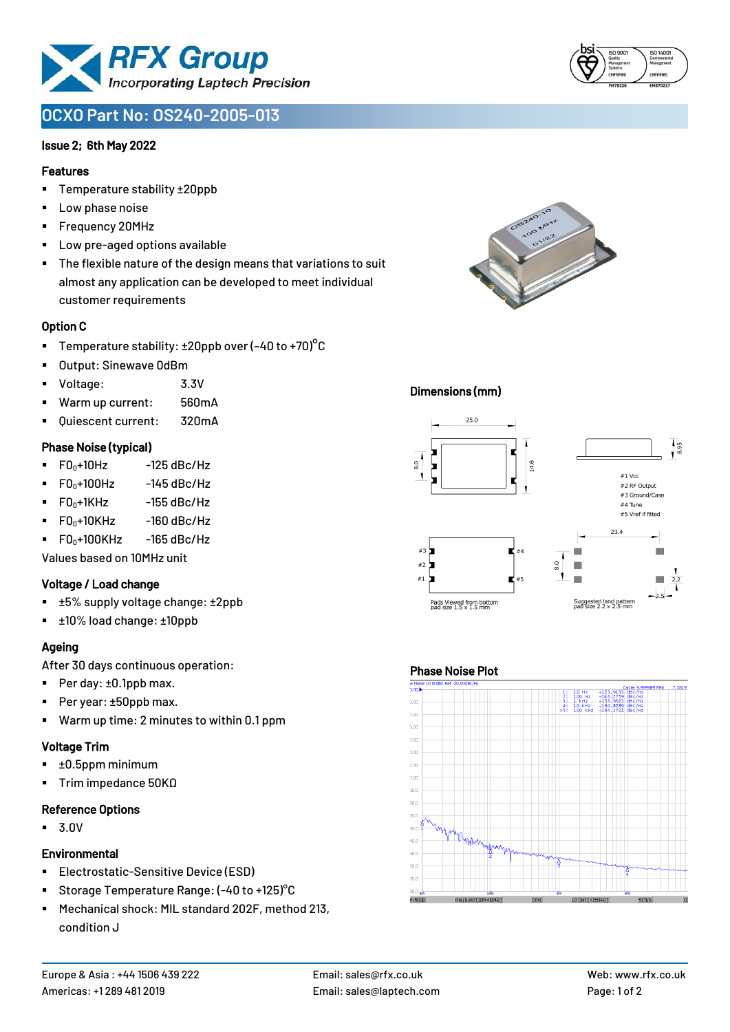

# **OCXO Part No: OS240-2005-013**

### Issue 2; 6th May 2022

### Features

- Temperature stability ±20ppb
- Low phase noise
- Frequency 20MHz
- Low pre-aged options available
- The flexible nature of the design means that variations to suit almost any application can be developed to meet individual customer requirements

#### Option C

- **•** Temperature stability:  $\pm 20$ ppb over (-40 to +70)<sup>o</sup>C
- Output: Sinewave 0dBm
- Voltage: 3.3V
- Warm up current: 560mA
- Ouiescent current: 320mA

#### Phase Noise (typical)

- $\blacksquare$  F0 $\scriptstyle\bullet$ +10Hz -125 dBc/Hz
- $F0_0+100$ Hz  $-145$  dBc/Hz
- $\blacksquare$  F0 $_0$ +1KHz -155 dBc/Hz
- $\blacksquare$  F0 $_0$ +10KHz -160 dBc/Hz
- $\blacksquare$  F0 $\scriptstyle\bullet$ +100KHz -165 dBc/Hz

Values based on 10MHz unit

### Voltage / Load change

- ±5% supply voltage change: ±2ppb
- ±10% load change: ±10ppb

### Ageing

After 30 days continuous operation:

- Per day: ±0.1ppb max.
- Per year: ±50ppb max.
- Warm up time: 2 minutes to within 0.1 ppm

### Voltage Trim

- ±0.5ppm minimum
- Trim impedance 50KΩ

#### Reference Options

▪ 3.0V

### **Environmental**

- **Electrostatic-Sensitive Device (ESD)**
- Storage Temperature Range: (-40 to +125) °C
- Mechanical shock: MIL standard 202F, method 213, condition J



### Dimensions (mm)



#### Phase Noise Plot